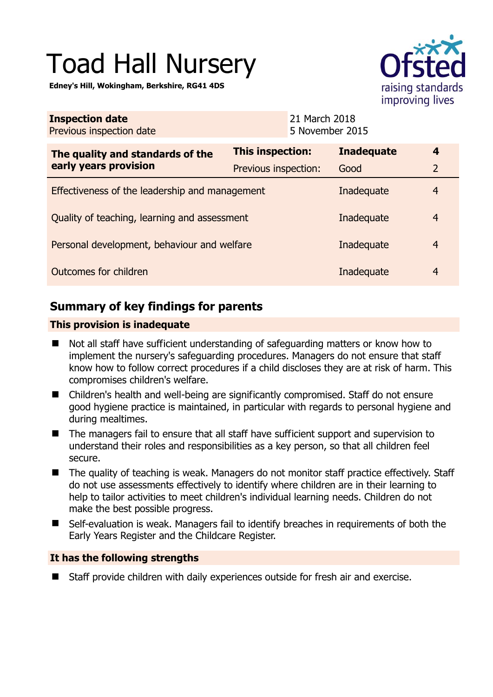# Toad Hall Nursery

**Edney's Hill, Wokingham, Berkshire, RG41 4DS** 



| <b>Inspection date</b><br>Previous inspection date        | 21 March 2018<br>5 November 2015 |                   |                  |
|-----------------------------------------------------------|----------------------------------|-------------------|------------------|
| The quality and standards of the<br>early years provision | This inspection:                 | <b>Inadequate</b> | $\boldsymbol{4}$ |
|                                                           | Previous inspection:             | Good              | $\overline{2}$   |
| Effectiveness of the leadership and management            |                                  | Inadequate        | $\overline{4}$   |
| Quality of teaching, learning and assessment              |                                  | Inadequate        | $\overline{4}$   |
| Personal development, behaviour and welfare               |                                  | Inadequate        | $\overline{4}$   |
| Outcomes for children                                     |                                  | Inadequate        | $\overline{4}$   |

# **Summary of key findings for parents**

## **This provision is inadequate**

- Not all staff have sufficient understanding of safeguarding matters or know how to implement the nursery's safeguarding procedures. Managers do not ensure that staff know how to follow correct procedures if a child discloses they are at risk of harm. This compromises children's welfare.
- Children's health and well-being are significantly compromised. Staff do not ensure good hygiene practice is maintained, in particular with regards to personal hygiene and during mealtimes.
- The managers fail to ensure that all staff have sufficient support and supervision to understand their roles and responsibilities as a key person, so that all children feel secure.
- The quality of teaching is weak. Managers do not monitor staff practice effectively. Staff do not use assessments effectively to identify where children are in their learning to help to tailor activities to meet children's individual learning needs. Children do not make the best possible progress.
- Self-evaluation is weak. Managers fail to identify breaches in requirements of both the Early Years Register and the Childcare Register.

### **It has the following strengths**

■ Staff provide children with daily experiences outside for fresh air and exercise.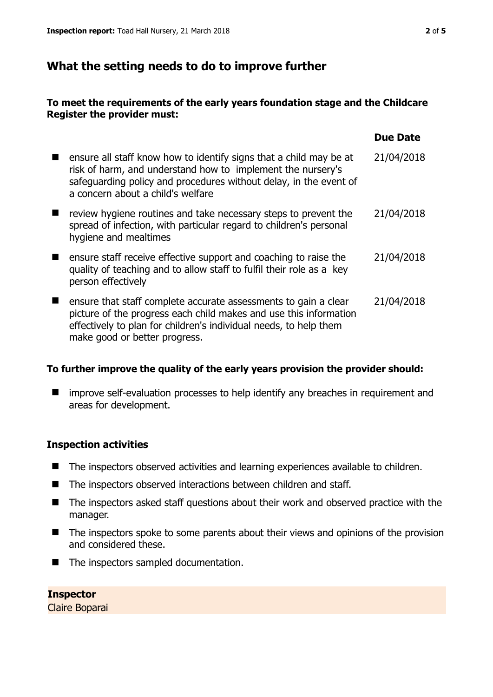## **What the setting needs to do to improve further**

#### **To meet the requirements of the early years foundation stage and the Childcare Register the provider must:**

|                                                                                                                                                                                                                                             | Due Date   |
|---------------------------------------------------------------------------------------------------------------------------------------------------------------------------------------------------------------------------------------------|------------|
| ensure all staff know how to identify signs that a child may be at<br>risk of harm, and understand how to implement the nursery's<br>safeguarding policy and procedures without delay, in the event of<br>a concern about a child's welfare | 21/04/2018 |
| review hygiene routines and take necessary steps to prevent the<br>spread of infection, with particular regard to children's personal<br>hygiene and mealtimes                                                                              | 21/04/2018 |
| ensure staff receive effective support and coaching to raise the<br>quality of teaching and to allow staff to fulfil their role as a key<br>person effectively                                                                              | 21/04/2018 |
| ensure that staff complete accurate assessments to gain a clear<br>picture of the progress each child makes and use this information<br>effectively to plan for children's individual needs, to help them<br>make good or better progress.  | 21/04/2018 |

#### **To further improve the quality of the early years provision the provider should:**

**I** improve self-evaluation processes to help identify any breaches in requirement and areas for development.

#### **Inspection activities**

- The inspectors observed activities and learning experiences available to children.
- The inspectors observed interactions between children and staff.
- The inspectors asked staff questions about their work and observed practice with the manager.
- The inspectors spoke to some parents about their views and opinions of the provision and considered these.
- The inspectors sampled documentation.

**Inspector**  Claire Boparai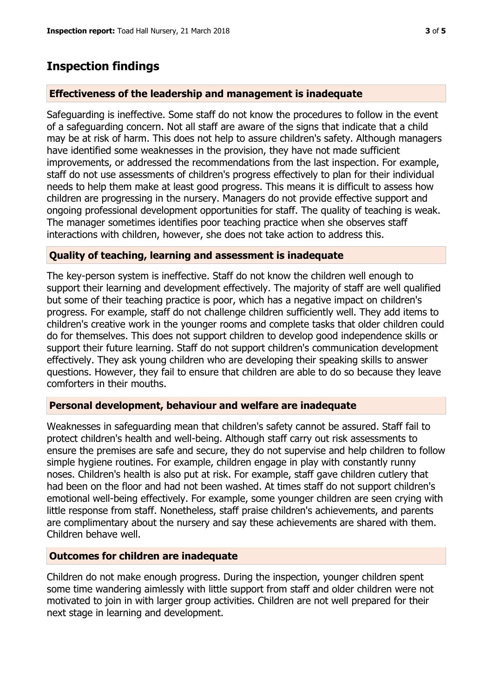## **Inspection findings**

#### **Effectiveness of the leadership and management is inadequate**

Safeguarding is ineffective. Some staff do not know the procedures to follow in the event of a safeguarding concern. Not all staff are aware of the signs that indicate that a child may be at risk of harm. This does not help to assure children's safety. Although managers have identified some weaknesses in the provision, they have not made sufficient improvements, or addressed the recommendations from the last inspection. For example, staff do not use assessments of children's progress effectively to plan for their individual needs to help them make at least good progress. This means it is difficult to assess how children are progressing in the nursery. Managers do not provide effective support and ongoing professional development opportunities for staff. The quality of teaching is weak. The manager sometimes identifies poor teaching practice when she observes staff interactions with children, however, she does not take action to address this.

#### **Quality of teaching, learning and assessment is inadequate**

The key-person system is ineffective. Staff do not know the children well enough to support their learning and development effectively. The majority of staff are well qualified but some of their teaching practice is poor, which has a negative impact on children's progress. For example, staff do not challenge children sufficiently well. They add items to children's creative work in the younger rooms and complete tasks that older children could do for themselves. This does not support children to develop good independence skills or support their future learning. Staff do not support children's communication development effectively. They ask young children who are developing their speaking skills to answer questions. However, they fail to ensure that children are able to do so because they leave comforters in their mouths.

#### **Personal development, behaviour and welfare are inadequate**

Weaknesses in safeguarding mean that children's safety cannot be assured. Staff fail to protect children's health and well-being. Although staff carry out risk assessments to ensure the premises are safe and secure, they do not supervise and help children to follow simple hygiene routines. For example, children engage in play with constantly runny noses. Children's health is also put at risk. For example, staff gave children cutlery that had been on the floor and had not been washed. At times staff do not support children's emotional well-being effectively. For example, some younger children are seen crying with little response from staff. Nonetheless, staff praise children's achievements, and parents are complimentary about the nursery and say these achievements are shared with them. Children behave well.

#### **Outcomes for children are inadequate**

Children do not make enough progress. During the inspection, younger children spent some time wandering aimlessly with little support from staff and older children were not motivated to join in with larger group activities. Children are not well prepared for their next stage in learning and development.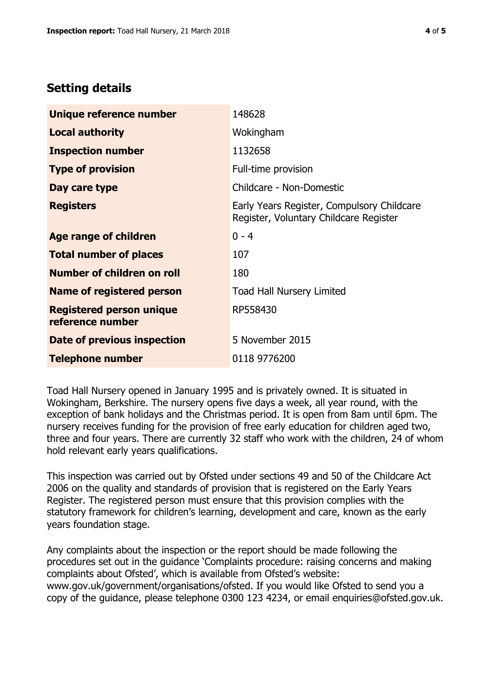## **Setting details**

| Unique reference number                             | 148628                                                                               |
|-----------------------------------------------------|--------------------------------------------------------------------------------------|
| <b>Local authority</b>                              | Wokingham                                                                            |
| <b>Inspection number</b>                            | 1132658                                                                              |
| <b>Type of provision</b>                            | Full-time provision                                                                  |
| Day care type                                       | Childcare - Non-Domestic                                                             |
| <b>Registers</b>                                    | Early Years Register, Compulsory Childcare<br>Register, Voluntary Childcare Register |
| Age range of children                               | $0 - 4$                                                                              |
| <b>Total number of places</b>                       | 107                                                                                  |
| Number of children on roll                          | 180                                                                                  |
| Name of registered person                           | <b>Toad Hall Nursery Limited</b>                                                     |
| <b>Registered person unique</b><br>reference number | RP558430                                                                             |
| <b>Date of previous inspection</b>                  | 5 November 2015                                                                      |
| <b>Telephone number</b>                             | 0118 9776200                                                                         |

Toad Hall Nursery opened in January 1995 and is privately owned. It is situated in Wokingham, Berkshire. The nursery opens five days a week, all year round, with the exception of bank holidays and the Christmas period. It is open from 8am until 6pm. The nursery receives funding for the provision of free early education for children aged two, three and four years. There are currently 32 staff who work with the children, 24 of whom hold relevant early years qualifications.

This inspection was carried out by Ofsted under sections 49 and 50 of the Childcare Act 2006 on the quality and standards of provision that is registered on the Early Years Register. The registered person must ensure that this provision complies with the statutory framework for children's learning, development and care, known as the early years foundation stage.

Any complaints about the inspection or the report should be made following the procedures set out in the guidance 'Complaints procedure: raising concerns and making complaints about Ofsted', which is available from Ofsted's website: www.gov.uk/government/organisations/ofsted. If you would like Ofsted to send you a copy of the guidance, please telephone 0300 123 4234, or email enquiries@ofsted.gov.uk.